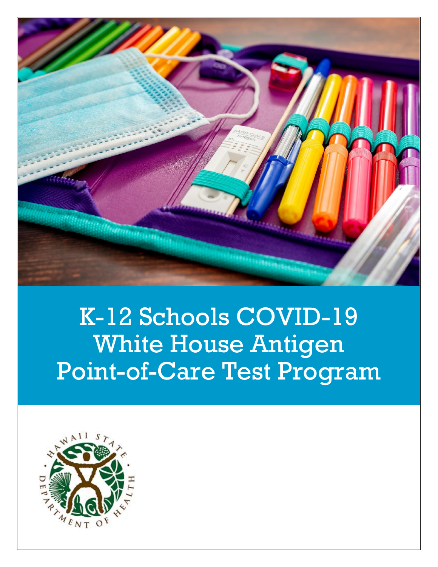

# K-12 Schools COVID-19 White House Antigen Point-of-Care Test Program

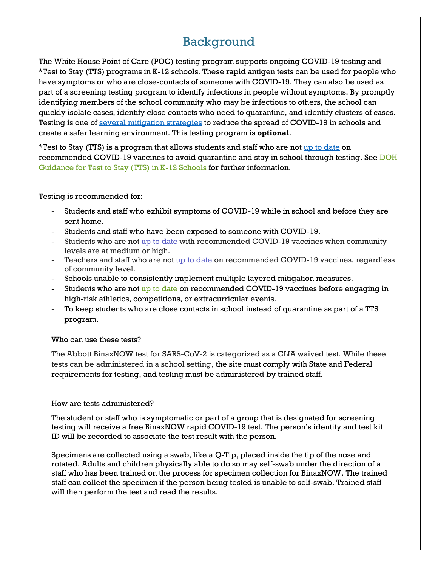# Background

The White House Point of Care (POC) testing program supports ongoing COVID-19 testing and \*Test to Stay (TTS) programs in K-12 schools. These rapid antigen tests can be used for people who have symptoms or who are close-contacts of someone with COVID-19. They can also be used as part of a screening testing program to identify infections in people without symptoms. By promptly identifying members of the school community who may be infectious to others, the school can quickly isolate cases, identify close contacts who need to quarantine, and identify clusters of cases. Testing is one of [several mitigation strategies](https://health.hawaii.gov/coronavirusdisease2019/files/2021/08/COVID-19-Guidance-for-Schools.pdf) to reduce the spread of COVID-19 in schools and create a safer learning environment. This testing program is **optional**.

\*Test to Stay (TTS) is a program that allows students and staff who are not [up to date](https://www.cdc.gov/coronavirus/2019-ncov/vaccines/stay-up-to-date.html) on recommended COVID-19 vaccines to avoid quarantine and stay in school through testing. See DOH [Guidance for Test to Stay \(TTS\) in K-12 Schools](https://health.hawaii.gov/coronavirusdisease2019/files/2022/01/DOH-Guidance-For-Test-To-Stay-TTS-in-K-12-Schools.pdf) for further information.

#### Testing is recommended for:

- Students and staff who exhibit symptoms of COVID-19 while in school and before they are sent home.
- Students and staff who have been exposed to someone with COVID-19.
- Students who are not [up to date](https://www.cdc.gov/coronavirus/2019-ncov/vaccines/stay-up-to-date.html) with recommended COVID-19 vaccines when community levels are at medium or high.
- Teachers and staff who are not [up to date](https://www.cdc.gov/coronavirus/2019-ncov/vaccines/stay-up-to-date.html) on recommended COVID-19 vaccines, regardless of community level.
- Schools unable to consistently implement multiple layered mitigation measures.
- Students who are not [up to date](https://www.cdc.gov/coronavirus/2019-ncov/vaccines/stay-up-to-date.html) on recommended COVID-19 vaccines before engaging in high-risk athletics, competitions, or extracurricular events.
- To keep students who are close contacts in school instead of quarantine as part of a TTS program.

#### Who can use these tests?

The Abbott BinaxNOW test for SARS-CoV-2 is categorized as a CLIA waived test. While these tests can be administered in a school setting, the site must comply with State and Federal requirements for testing, and testing must be administered by trained staff.

#### How are tests administered?

The student or staff who is symptomatic or part of a group that is designated for screening testing will receive a free BinaxNOW rapid COVID-19 test. The person's identity and test kit ID will be recorded to associate the test result with the person.

Specimens are collected using a swab, like a Q-Tip, placed inside the tip of the nose and rotated. Adults and children physically able to do so may self-swab under the direction of a staff who has been trained on the process for specimen collection for BinaxNOW. The trained staff can collect the specimen if the person being tested is unable to self-swab. Trained staff will then perform the test and read the results.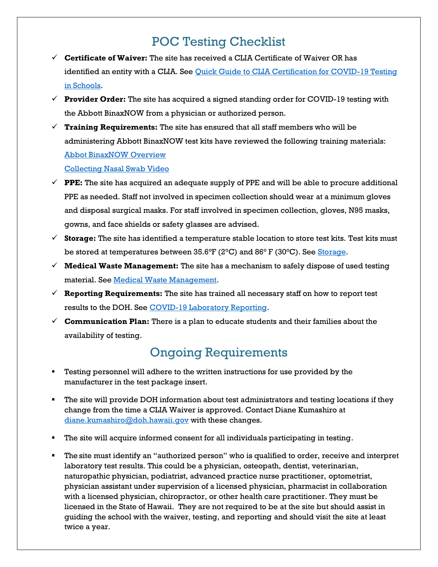# POC Testing Checklist

- ✓ **Certificate of Waiver:** The site has received a CLIA Certificate of Waiver OR has identified an entity with a CLIA. See [Quick Guide to CLIA Certification for COVID-19 Testing](https://www.necanet.org/docs/default-source/covid-19/clia_quickstart_guide_school-2021-05-17.pdf?sfvrsn=2007ad88_5)  [in Schools.](https://www.necanet.org/docs/default-source/covid-19/clia_quickstart_guide_school-2021-05-17.pdf?sfvrsn=2007ad88_5)
- $\checkmark$  **Provider Order:** The site has acquired a signed standing order for COVID-19 testing with the Abbott BinaxNOW from a physician or authorized person.
- $\checkmark$  **Training Requirements:** The site has ensured that all staff members who will be administering Abbott BinaxNOW test kits have reviewed the following training materials: [Abbot BinaxNOW Overview](https://health.hawaii.gov/statelab/files/2021/01/Abbott_binax_now_training_slides_videoremoved.pdf)  [Collecting Nasal Swab Video](https://www.bing.com/videos/search?q=seabourn+priscilla+Abbot+Binax+now&&view=detail&mid=02CFDA7D53C4CE5D65A902CFDA7D53C4CE5D65A9&&FORM=VRDGAR&ru=%2Fvideos%2Fsearch%3Fq%3Dseabourn%2520priscilla%2520Abbot%2520Binax%2520now%26qs%3Dn%26form%3DQBVRMH%26%3D%2525eManage%2520Your%2520Search%2520History%2525E%26sp%3D-1%26pq%3Dseabourn%2520priscilla%2520abbot%2520binax%2520now%26sc%3D0-34%26sk%3D%26cvid%3DEF392CBB94F841A099FC2F8988A9ED30)
- $\checkmark$  **PPE:** The site has acquired an adequate supply of PPE and will be able to procure additional PPE as needed. Staff not involved in specimen collection should wear at a minimum gloves and disposal surgical masks. For staff involved in specimen collection, gloves, N95 masks, gowns, and face shields or safety glasses are advised.
- ✓ **Storage:** The site has identified a temperature stable location to store test kits. Test kits must be stored at temperatures between 35.6°F (2°C) and 86° F (30°C). See [Storage.](#page-3-0)
- $\checkmark$  **Medical Waste Management:** The site has a mechanism to safely dispose of used testing material. See Medical Waste Management.
- $\checkmark$  **Reporting Requirements:** The site has trained all necessary staff on how to report test results to the DOH. See [COVID-19 Laboratory Reporting.](#page-6-0)
- ✓ **Communication Plan:** There is a plan to educate students and their families about the availability of testing.

# Ongoing Requirements

- Testing personnel will adhere to the written instructions for use provided by the manufacturer in the test package insert.
- The site will provide DOH information about test administrators and testing locations if they change from the time a CLIA Waiver is approved. Contact Diane Kumashiro at [diane.kumashiro@doh.hawaii.gov](mailto:diane.kumashiro@doh.hawaii.gov) with these changes.
- The site will acquire informed consent for all individuals participating in testing.
- The site must identify an "authorized person" who is qualified to order, receive and interpret laboratory test results. This could be a physician, osteopath, dentist, veterinarian, naturopathic physician, podiatrist, advanced practice nurse practitioner, optometrist, physician assistant under supervision of a licensed physician, pharmacist in collaboration with a licensed physician, chiropractor, or other health care practitioner. They must be licensed in the State of Hawaii. They are not required to be at the site but should assist in guiding the school with the waiver, testing, and reporting and should visit the site at least twice a year.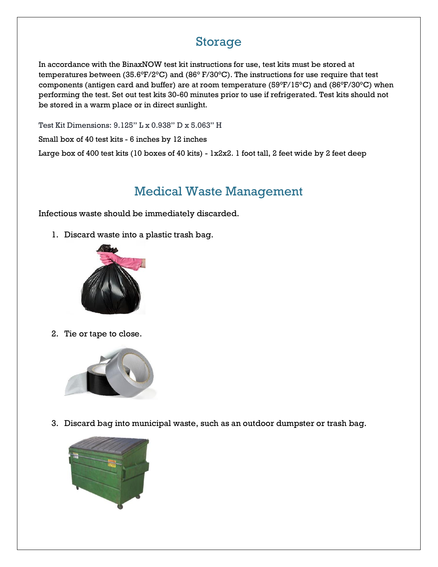### Storage

In accordance with the BinaxNOW test kit instructions for use, test kits must be stored at temperatures between (35.6°F/2°C) and (86° F/30°C). The instructions for use require that test components (antigen card and buffer) are at room temperature (59°F/15°C) and (86°F/30°C) when performing the test. Set out test kits 30-60 minutes prior to use if refrigerated. Test kits should not be stored in a warm place or in direct sunlight.

Test Kit Dimensions: 9.125" L x 0.938" D x 5.063" H

Small box of 40 test kits - 6 inches by 12 inches

Large box of 400 test kits (10 boxes of 40 kits) - 1x2x2. 1 foot tall, 2 feet wide by 2 feet deep

#### Medical Waste Management

Infectious waste should be immediately discarded.

1. Discard waste into a plastic trash bag.



2. Tie or tape to close.



3. Discard bag into municipal waste, such as an outdoor dumpster or trash bag.

<span id="page-3-0"></span>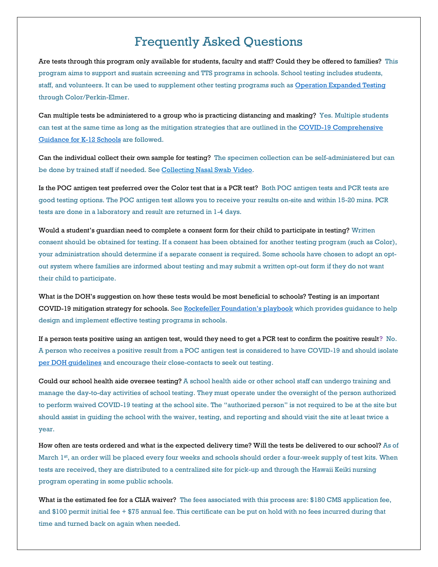## Frequently Asked Questions

Are tests through this program only available for students, faculty and staff? Could they be offered to families? This program aims to support and sustain screening and TTS programs in schools. School testing includes students, staff, and volunteers. It can be used to supplement other testing programs such a[s Operation Expanded Testing](https://www.color.com/lp/hi1) through Color/Perkin-Elmer.

Can multiple tests be administered to a group who is practicing distancing and masking? Yes. Multiple students can test at the same time as long as the mitigation strategies that are outlined in the COVID-19 Comprehensive Guidance for K-12 Schools [are followed.](https://health.hawaii.gov/coronavirusdisease2019/files/2021/08/COVID-19-Guidance-for-Schools.pdf) 

Can the individual collect their own sample for testing? The specimen collection can be self-administered but can be done by trained staff if needed. Se[e Collecting Nasal Swab Video.](https://urldefense.com/v3/__https:/www.bing.com/videos/search?q=seabourn*priscilla*Abbot*Binax*now&&view=detail&mid=02CFDA7D53C4CE5D65A902CFDA7D53C4CE5D65A9&&FORM=VRDGAR&ru=*2Fvideos*2Fsearch*3Fq*3Dseabourn*2520priscilla*2520Abbot*2520Binax*2520now*26qs*3Dn*26form*3DQBVRMH*26*3D*2525eManage*2520Your*2520Search*2520History*2525E*26sp*3D-1*26pq*3Dseabourn*2520priscilla*2520abbot*2520binax*2520now*26sc*3D0-34*26sk*3D*26cvid*3DEF392CBB94F841A099FC2F8988A9ED30__;KysrKyUlJSUlJSUlJSUlJSUlJSUlJSUlJSUlJSUlJSUlJSUlJQ!!LIYSdFfckKA!iaP_hgQtCk4eBVR5nEDPLCm4NEibTOoZVyhUWG59VloiobgqOCfBMksbM84bwuv_o7CjDAkFDkCpYOU$)

Is the POC antigen test preferred over the Color test that is a PCR test? Both POC antigen tests and PCR tests are good testing options. The POC antigen test allows you to receive your results on-site and within 15-20 mins. PCR tests are done in a laboratory and result are returned in 1-4 days.

Would a student's guardian need to complete a consent form for their child to participate in testing? Written consent should be obtained for testing. If a consent has been obtained for another testing program (such as Color), your administration should determine if a separate consent is required. Some schools have chosen to adopt an optout system where families are informed about testing and may submit a written opt-out form if they do not want their child to participate.

What is the DOH's suggestion on how these tests would be most beneficial to schools? Testing is an important COVID-19 mitigation strategy for schools. See [Rockefeller Foundation's playbook](https://www.rockefellerfoundation.org/report/covid-19-testing-in-k-12-settings-a-playbook-for-educators-and-leaders/) which provides guidance to help design and implement effective testing programs in schools.

If a person tests positive using an antigen test, would they need to get a PCR test to confirm the positive result? No. A person who receives a positive result from a POC antigen test is considered to have COVID-19 and should isolate [per DOH guidelines](https://health.hawaii.gov/coronavirusdisease2019/files/2022/01/Home-Isolation-and-Quarantine-Guidance-for-Schools.pdf) and encourage their close-contacts to seek out testing.

Could our school health aide oversee testing? A school health aide or other school staff can undergo training and manage the day-to-day activities of school testing. They must operate under the oversight of the person authorized to perform waived COVID-19 testing at the school site. The "authorized person" is not required to be at the site but should assist in guiding the school with the waiver, testing, and reporting and should visit the site at least twice a year.

How often are tests ordered and what is the expected delivery time? Will the tests be delivered to our school? As of March 1<sup>st</sup>, an order will be placed every four weeks and schools should order a four-week supply of test kits. When tests are received, they are distributed to a centralized site for pick-up and through the Hawaii Keiki nursing program operating in some public schools.

What is the estimated fee for a CLIA waiver? The fees associated with this process are: \$180 CMS application fee, and \$100 permit initial fee + \$75 annual fee. This certificate can be put on hold with no fees incurred during that time and turned back on again when needed.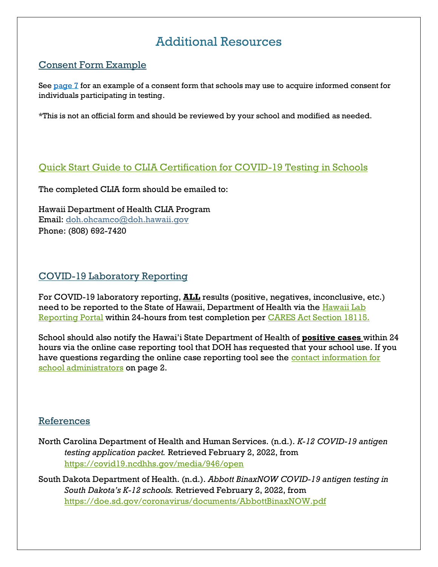# Additional Resources

#### Consent Form Example

See [page 7](#page-6-0) for an example of a consent form that schools may use to acquire informed consent for individuals participating in testing.

\*This is not an official form and should be reviewed by your school and modified as needed.

#### [Quick Start Guide to CLIA Certification for COVID-19 Testing in Schools](https://www.necanet.org/docs/default-source/covid-19/clia_quickstart_guide_school-2021-05-17.pdf?sfvrsn=2007ad88_5)

The completed CLIA form should be emailed to:

Hawaii Department of Health CLIA Program Email: [doh.ohcamco@doh.hawaii.gov](mailto:doh.ohcamco@doh.hawaii.gov) Phone: (808) 692-7420

#### COVID-19 Laboratory Reporting

For COVID-19 laboratory reporting, **ALL** results (positive, negatives, inconclusive, etc.) need to be reported to the State of Hawaii, Department of Health via the Hawaii Lab [Reporting Portal](https://health.hawaii.gov/docd/for-healthcare-providers/reporting-an-illness-for-healthcare-providers/reportable-diseases-laboratory/) within 24-hours from test completion per [CARES Act Section 18115.](https://www.hhs.gov/sites/default/files/covid-19-laboratory-data-reporting-guidance.pdf)

School should also notify the Hawai'i State Department of Health of **positive cases** within 24 hours via the online case reporting tool that DOH has requested that your school use. If you have questions regarding the online case reporting tool see the contact information for [school administrators](https://health.hawaii.gov/coronavirusdisease2019/files/2022/01/When-A-Person-at-a-K-12-School-Has-COVID-19-For-School-Administrators.pdf) on page 2.

#### References

- North Carolina Department of Health and Human Services. (n.d.). *K-12 COVID-19 antigen testing application packet.* Retrieved February 2, 2022, from <https://covid19.ncdhhs.gov/media/946/open>
- South Dakota Department of Health. (n.d.). *Abbott BinaxNOW COVID-19 antigen testing in South Dakota's K-12 schools.* Retrieved February 2, 2022, from <https://doe.sd.gov/coronavirus/documents/AbbottBinaxNOW.pdf>